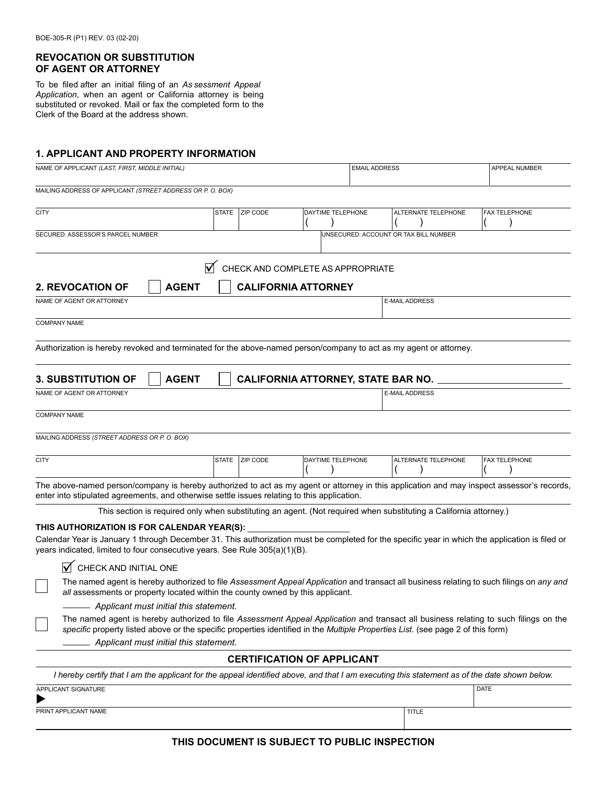## **REVOCATION OR SUBSTITUTION OF AGENT OR ATTORNEY**

To be filed after an initial filing of an *As sessment Appeal Application*, when an agent or California attorney is being substituted or revoked. Mail or fax the completed form to the Clerk of the Board at the address shown.

## **1. APPLICANT AND PROPERTY INFORMATION**

| NAME OF APPLICANT (LAST, FIRST, MIDDLE INITIAL)                                                                                                                                                                                                                              |  |                                                        |  |                                       | <b>EMAIL ADDRESS</b>       | <b>APPEAL NUMBER</b> |                      |
|------------------------------------------------------------------------------------------------------------------------------------------------------------------------------------------------------------------------------------------------------------------------------|--|--------------------------------------------------------|--|---------------------------------------|----------------------------|----------------------|----------------------|
| MAILING ADDRESS OF APPLICANT (STREET ADDRESS OR P. O. BOX)                                                                                                                                                                                                                   |  |                                                        |  |                                       |                            |                      |                      |
| <b>CITY</b>                                                                                                                                                                                                                                                                  |  | STATE   ZIP CODE                                       |  | DAYTIME TELEPHONE                     | <b>ALTERNATE TELEPHONE</b> |                      | <b>FAX TELEPHONE</b> |
| SECURED: ASSESSOR'S PARCEL NUMBER                                                                                                                                                                                                                                            |  |                                                        |  | UNSECURED: ACCOUNT OR TAX BILL NUMBER |                            |                      |                      |
|                                                                                                                                                                                                                                                                              |  | $\overrightarrow{V}$ CHECK AND COMPLETE AS APPROPRIATE |  |                                       |                            |                      |                      |
| <b>AGENT</b><br><b>2. REVOCATION OF</b><br>NAME OF AGENT OR ATTORNEY                                                                                                                                                                                                         |  | <b>CALIFORNIA ATTORNEY</b>                             |  |                                       | <b>E-MAIL ADDRESS</b>      |                      |                      |
| <b>COMPANY NAME</b>                                                                                                                                                                                                                                                          |  |                                                        |  |                                       |                            |                      |                      |
| Authorization is hereby revoked and terminated for the above-named person/company to act as my agent or attorney.                                                                                                                                                            |  |                                                        |  |                                       |                            |                      |                      |
| <b>AGENT</b><br><b>3. SUBSTITUTION OF</b>                                                                                                                                                                                                                                    |  | CALIFORNIA ATTORNEY, STATE BAR NO.                     |  |                                       |                            |                      |                      |
| NAME OF AGENT OR ATTORNEY                                                                                                                                                                                                                                                    |  |                                                        |  |                                       | <b>E-MAIL ADDRESS</b>      |                      |                      |
| <b>COMPANY NAME</b>                                                                                                                                                                                                                                                          |  |                                                        |  |                                       |                            |                      |                      |
| MAILING ADDRESS (STREET ADDRESS OR P. O. BOX)                                                                                                                                                                                                                                |  |                                                        |  |                                       |                            |                      |                      |
| <b>CITY</b>                                                                                                                                                                                                                                                                  |  | STATE   ZIP CODE                                       |  | DAYTIME TELEPHONE                     | ALTERNATE TELEPHONE        |                      | <b>FAX TELEPHONE</b> |
| The above-named person/company is hereby authorized to act as my agent or attorney in this application and may inspect assessor's records,<br>enter into stipulated agreements, and otherwise settle issues relating to this application.                                    |  |                                                        |  |                                       |                            |                      |                      |
| This section is required only when substituting an agent. (Not required when substituting a California attorney.)                                                                                                                                                            |  |                                                        |  |                                       |                            |                      |                      |
| THIS AUTHORIZATION IS FOR CALENDAR YEAR(S):<br>Calendar Year is January 1 through December 31. This authorization must be completed for the specific year in which the application is filed or<br>years indicated, limited to four consecutive years. See Rule 305(a)(1)(B). |  |                                                        |  |                                       |                            |                      |                      |
| $\overline{M}$ CHECK AND INITIAL ONE<br>The named agent is hereby authorized to file Assessment Appeal Application and transact all business relating to such filings on any and<br>all assessments or property located within the county owned by this applicant.           |  |                                                        |  |                                       |                            |                      |                      |
| Applicant must initial this statement.                                                                                                                                                                                                                                       |  |                                                        |  |                                       |                            |                      |                      |
| The named agent is hereby authorized to file Assessment Appeal Application and transact all business relating to such filings on the<br>specific property listed above or the specific properties identified in the Multiple Properties List. (see page 2 of this form)      |  |                                                        |  |                                       |                            |                      |                      |
| Applicant must initial this statement.                                                                                                                                                                                                                                       |  |                                                        |  |                                       |                            |                      |                      |
| I hereby certify that I am the applicant for the appeal identified above, and that I am executing this statement as of the date shown below.                                                                                                                                 |  | <b>CERTIFICATION OF APPLICANT</b>                      |  |                                       |                            |                      |                      |
| APPLICANT SIGNATURE                                                                                                                                                                                                                                                          |  |                                                        |  |                                       |                            | <b>DATE</b>          |                      |
| PRINT APPLICANT NAME                                                                                                                                                                                                                                                         |  |                                                        |  |                                       | <b>TITLE</b>               |                      |                      |